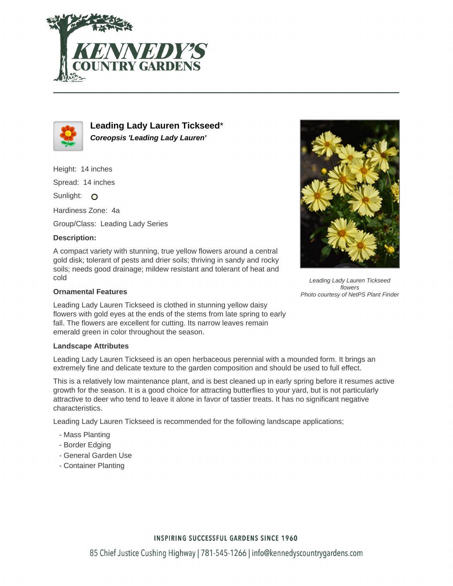



**Leading Lady Lauren Tickseed**\* **Coreopsis 'Leading Lady Lauren'**

Height: 14 inches

Spread: 14 inches

Sunlight: O

Hardiness Zone: 4a

Group/Class: Leading Lady Series

## **Description:**

A compact variety with stunning, true yellow flowers around a central gold disk; tolerant of pests and drier soils; thriving in sandy and rocky soils; needs good drainage; mildew resistant and tolerant of heat and cold

## **Ornamental Features**

Leading Lady Lauren Tickseed is clothed in stunning yellow daisy flowers with gold eyes at the ends of the stems from late spring to early fall. The flowers are excellent for cutting. Its narrow leaves remain emerald green in color throughout the season.

## **Landscape Attributes**

Leading Lady Lauren Tickseed is an open herbaceous perennial with a mounded form. It brings an extremely fine and delicate texture to the garden composition and should be used to full effect.

This is a relatively low maintenance plant, and is best cleaned up in early spring before it resumes active growth for the season. It is a good choice for attracting butterflies to your yard, but is not particularly attractive to deer who tend to leave it alone in favor of tastier treats. It has no significant negative characteristics.

Leading Lady Lauren Tickseed is recommended for the following landscape applications;

- Mass Planting
- Border Edging
- General Garden Use
- Container Planting



Leading Lady Lauren Tickseed flowers Photo courtesy of NetPS Plant Finder